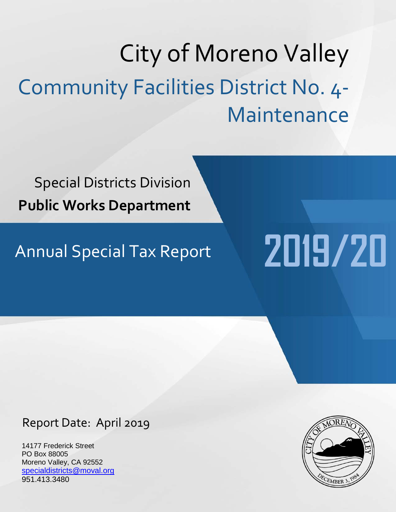# City of Moreno Valley Community Facilities District No. 4- Maintenance

Special Districts Division **Public Works Department**

# Annual Special Tax Report **2019/20**

# Report Date: April 2019

14177 Frederick Street PO Box 88005 Moreno Valley, CA 92552 [specialdistricts@moval.org](mailto:specialdistricts@moval.org) 951.413.3480

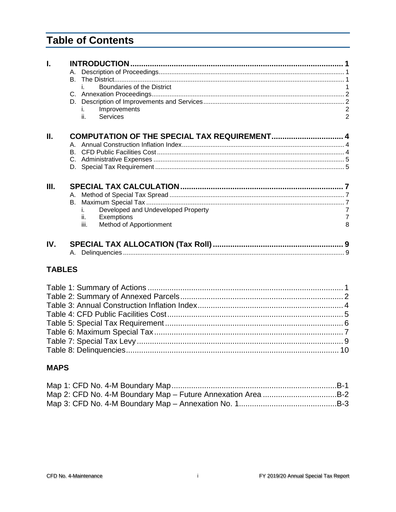# **Table of Contents**

| Ī.  |                                              |                |
|-----|----------------------------------------------|----------------|
|     | A.                                           |                |
|     |                                              |                |
|     | Boundaries of the District<br>i.             |                |
|     |                                              |                |
|     |                                              |                |
|     | Improvements<br>i.                           | $\overline{2}$ |
|     | ii.<br>Services                              | $\overline{2}$ |
| П.  | COMPUTATION OF THE SPECIAL TAX REQUIREMENT 4 |                |
|     |                                              |                |
|     |                                              |                |
|     |                                              |                |
|     |                                              |                |
|     |                                              |                |
| Ш.  |                                              |                |
|     | А.                                           |                |
|     |                                              |                |
|     | Developed and Undeveloped Property           | $\overline{7}$ |
|     | ii.<br>Exemptions                            | $\overline{7}$ |
|     | iii.<br>Method of Apportionment              | 8              |
| IV. |                                              |                |
|     |                                              |                |
|     |                                              |                |
|     | <b>TABLES</b>                                |                |
|     |                                              |                |

#### **MAPS**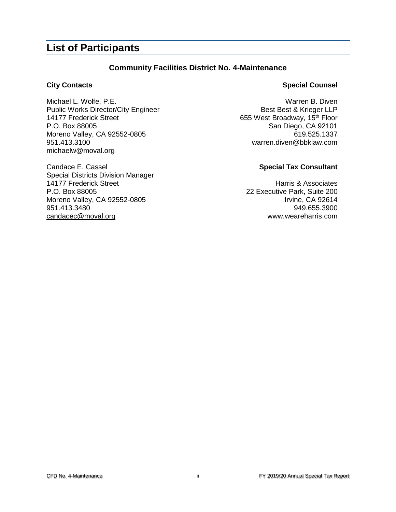## **List of Participants**

#### **Community Facilities District No. 4-Maintenance**

Michael L. Wolfe, P.E.<br>
Public Works Director/City Engineer<br>
Best Best & Krieger LLP Public Works Director/City Engineer 14177 Frederick Street **655 West Broadway**, 15<sup>th</sup> Floor P.O. Box 88005 San Diego, CA 92101 Moreno Valley, CA 92552-0805 619.525.1337 951.413.3100 [warren.diven@bbklaw.com](mailto:warren.diven@bbklaw.com) [michaelw@moval.org](mailto:richardt@moval.org)

Candace E. Cassel **Special Tax Consultant** Special Districts Division Manager 14177 Frederick Street **Harris & Associates** P.O. Box 88005 22 Executive Park, Suite 200 Moreno Valley, CA 92552-0805 **Irvine, CA 92614** 951.413.3480 949.655.3900 [candacec@moval.org](mailto:candacec@moval.org) www.weareharris.com

#### **City Contacts Special Counsel**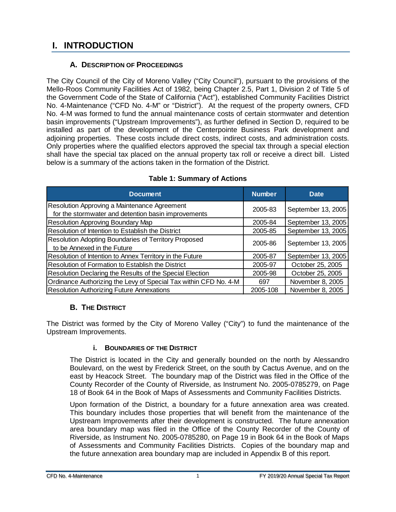# <span id="page-4-0"></span>**I. INTRODUCTION**

#### **A. DESCRIPTION OF PROCEEDINGS**

<span id="page-4-1"></span>The City Council of the City of Moreno Valley ("City Council"), pursuant to the provisions of the Mello-Roos Community Facilities Act of 1982, being Chapter 2.5, Part 1, Division 2 of Title 5 of the Government Code of the State of California ("Act"), established Community Facilities District No. 4-Maintenance ("CFD No. 4-M" or "District"). At the request of the property owners, CFD No. 4-M was formed to fund the annual maintenance costs of certain stormwater and detention basin improvements ("Upstream Improvements"), as further defined in Section D, required to be installed as part of the development of the Centerpointe Business Park development and adjoining properties. These costs include direct costs, indirect costs, and administration costs. Only properties where the qualified electors approved the special tax through a special election shall have the special tax placed on the annual property tax roll or receive a direct bill. Listed below is a summary of the actions taken in the formation of the District.

<span id="page-4-4"></span>

| <b>Document</b>                                                  | <b>Number</b> | <b>Date</b>        |  |
|------------------------------------------------------------------|---------------|--------------------|--|
| Resolution Approving a Maintenance Agreement                     | 2005-83       | September 13, 2005 |  |
| for the stormwater and detention basin improvements              |               |                    |  |
| <b>Resolution Approving Boundary Map</b>                         | 2005-84       | September 13, 2005 |  |
| Resolution of Intention to Establish the District                | 2005-85       | September 13, 2005 |  |
| Resolution Adopting Boundaries of Territory Proposed             | 2005-86       | September 13, 2005 |  |
| to be Annexed in the Future                                      |               |                    |  |
| Resolution of Intention to Annex Territory in the Future         | 2005-87       | September 13, 2005 |  |
| Resolution of Formation to Establish the District                | 2005-97       | October 25, 2005   |  |
| Resolution Declaring the Results of the Special Election         | 2005-98       | October 25, 2005   |  |
| Ordinance Authorizing the Levy of Special Tax within CFD No. 4-M | 697           | November 8, 2005   |  |
| <b>Resolution Authorizing Future Annexations</b>                 | 2005-108      | November 8, 2005   |  |

#### **Table 1: Summary of Actions**

### **B. THE DISTRICT**

<span id="page-4-3"></span><span id="page-4-2"></span>The District was formed by the City of Moreno Valley ("City") to fund the maintenance of the Upstream Improvements.

#### **i. BOUNDARIES OF THE DISTRICT**

The District is located in the City and generally bounded on the north by Alessandro Boulevard, on the west by Frederick Street, on the south by Cactus Avenue, and on the east by Heacock Street. The boundary map of the District was filed in the Office of the County Recorder of the County of Riverside, as Instrument No. 2005-0785279, on Page 18 of Book 64 in the Book of Maps of Assessments and Community Facilities Districts.

Upon formation of the District, a boundary for a future annexation area was created. This boundary includes those properties that will benefit from the maintenance of the Upstream Improvements after their development is constructed. The future annexation area boundary map was filed in the Office of the County Recorder of the County of Riverside, as Instrument No. 2005-0785280, on Page 19 in Book 64 in the Book of Maps of Assessments and Community Facilities Districts. Copies of the boundary map and the future annexation area boundary map are included in Appendix B of this report.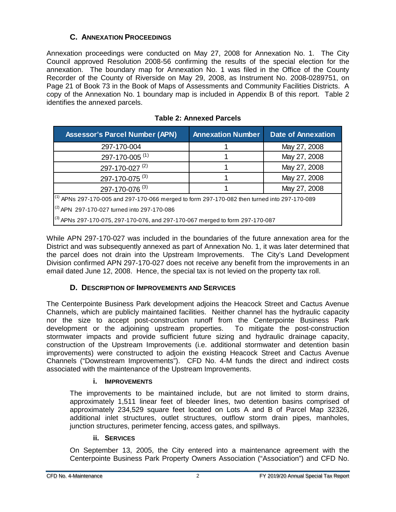#### **C. ANNEXATION PROCEEDINGS**

<span id="page-5-0"></span>Annexation proceedings were conducted on May 27, 2008 for Annexation No. 1. The City Council approved Resolution 2008-56 confirming the results of the special election for the annexation. The boundary map for Annexation No. 1 was filed in the Office of the County Recorder of the County of Riverside on May 29, 2008, as Instrument No. 2008-0289751, on Page 21 of Book 73 in the Book of Maps of Assessments and Community Facilities Districts. A copy of the Annexation No. 1 boundary map is included in Appendix B of this report. Table 2 identifies the annexed parcels.

<span id="page-5-4"></span>

| <b>Assessor's Parcel Number (APN)</b>                                                             | <b>Annexation Number</b> | <b>Date of Annexation</b> |  |  |
|---------------------------------------------------------------------------------------------------|--------------------------|---------------------------|--|--|
| 297-170-004                                                                                       |                          | May 27, 2008              |  |  |
| 297-170-005 <sup>(1)</sup>                                                                        |                          | May 27, 2008              |  |  |
| 297-170-027 <sup>(2)</sup>                                                                        |                          | May 27, 2008              |  |  |
| 297-170-075 <sup>(3)</sup>                                                                        |                          | May 27, 2008              |  |  |
| 297-170-076 (3)                                                                                   |                          | May 27, 2008              |  |  |
| $^{(1)}$ APNs 297-170-005 and 297-170-066 merged to form 297-170-082 then turned into 297-170-089 |                          |                           |  |  |
| $^{(2)}$ APN 297-170-027 turned into 297-170-086                                                  |                          |                           |  |  |
| $^{(3)}$ APNs 297-170-075, 297-170-076, and 297-170-067 merged to form 297-170-087                |                          |                           |  |  |

While APN 297-170-027 was included in the boundaries of the future annexation area for the District and was subsequently annexed as part of Annexation No. 1, it was later determined that the parcel does not drain into the Upstream Improvements. The City's Land Development Division confirmed APN 297-170-027 does not receive any benefit from the improvements in an email dated June 12, 2008. Hence, the special tax is not levied on the property tax roll.

#### **D. DESCRIPTION OF IMPROVEMENTS AND SERVICES**

<span id="page-5-1"></span>The Centerpointe Business Park development adjoins the Heacock Street and Cactus Avenue Channels, which are publicly maintained facilities. Neither channel has the hydraulic capacity nor the size to accept post-construction runoff from the Centerpointe Business Park development or the adjoining upstream properties. To mitigate the post-construction stormwater impacts and provide sufficient future sizing and hydraulic drainage capacity, construction of the Upstream Improvements (i.e. additional stormwater and detention basin improvements) were constructed to adjoin the existing Heacock Street and Cactus Avenue Channels ("Downstream Improvements"). CFD No. 4-M funds the direct and indirect costs associated with the maintenance of the Upstream Improvements.

#### **i. IMPROVEMENTS**

<span id="page-5-2"></span>The improvements to be maintained include, but are not limited to storm drains, approximately 1,511 linear feet of bleeder lines, two detention basins comprised of approximately 234,529 square feet located on Lots A and B of Parcel Map 32326, additional inlet structures, outlet structures, outflow storm drain pipes, manholes, junction structures, perimeter fencing, access gates, and spillways.

#### **ii. SERVICES**

<span id="page-5-3"></span>On September 13, 2005, the City entered into a maintenance agreement with the Centerpointe Business Park Property Owners Association ("Association") and CFD No.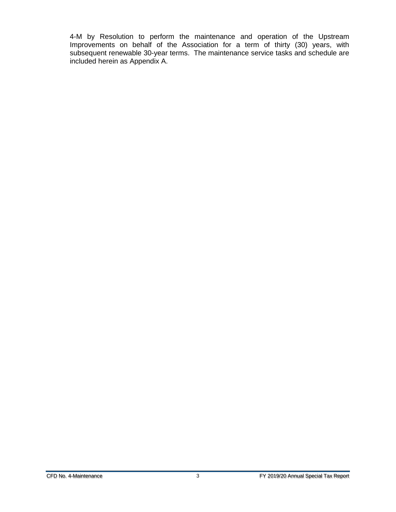4-M by Resolution to perform the maintenance and operation of the Upstream Improvements on behalf of the Association for a term of thirty (30) years, with subsequent renewable 30-year terms. The maintenance service tasks and schedule are included herein as Appendix A.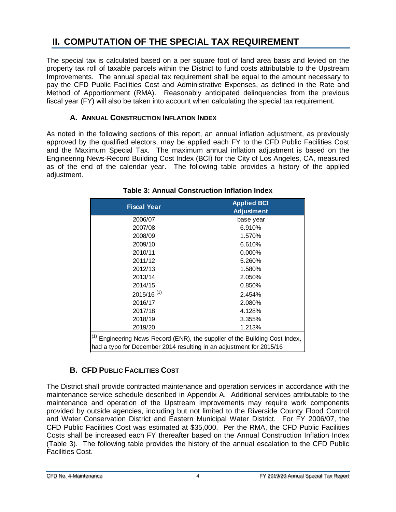# <span id="page-7-0"></span>**II. COMPUTATION OF THE SPECIAL TAX REQUIREMENT**

The special tax is calculated based on a per square foot of land area basis and levied on the property tax roll of taxable parcels within the District to fund costs attributable to the Upstream Improvements. The annual special tax requirement shall be equal to the amount necessary to pay the CFD Public Facilities Cost and Administrative Expenses, as defined in the Rate and Method of Apportionment (RMA). Reasonably anticipated delinquencies from the previous fiscal year (FY) will also be taken into account when calculating the special tax requirement.

#### **A. ANNUAL CONSTRUCTION INFLATION INDEX**

<span id="page-7-1"></span>As noted in the following sections of this report, an annual inflation adjustment, as previously approved by the qualified electors, may be applied each FY to the CFD Public Facilities Cost and the Maximum Special Tax. The maximum annual inflation adjustment is based on the Engineering News-Record Building Cost Index (BCI) for the City of Los Angeles, CA, measured as of the end of the calendar year. The following table provides a history of the applied adjustment.

<span id="page-7-3"></span>

| <b>Fiscal Year</b>                                                                                                                                            | <b>Applied BCI</b><br><b>Adjustment</b> |  |  |
|---------------------------------------------------------------------------------------------------------------------------------------------------------------|-----------------------------------------|--|--|
| 2006/07                                                                                                                                                       | base year                               |  |  |
| 2007/08                                                                                                                                                       | 6.910%                                  |  |  |
| 2008/09                                                                                                                                                       | 1.570%                                  |  |  |
| 2009/10                                                                                                                                                       | 6.610%                                  |  |  |
| 2010/11                                                                                                                                                       | $0.000\%$                               |  |  |
| 2011/12                                                                                                                                                       | 5.260%                                  |  |  |
| 2012/13                                                                                                                                                       | 1.580%                                  |  |  |
| 2013/14                                                                                                                                                       | 2.050%                                  |  |  |
| 2014/15                                                                                                                                                       | 0.850%                                  |  |  |
| $2015/16$ <sup>(1)</sup>                                                                                                                                      | 2.454%                                  |  |  |
| 2016/17                                                                                                                                                       | 2.080%                                  |  |  |
| 2017/18                                                                                                                                                       | 4.128%                                  |  |  |
| 2018/19                                                                                                                                                       | 3.355%                                  |  |  |
| 2019/20                                                                                                                                                       | 1.213%                                  |  |  |
| <sup>(1)</sup> Engineering News Record (ENR), the supplier of the Building Cost Index,<br>had a typo for December 2014 resulting in an adjustment for 2015/16 |                                         |  |  |

#### **Table 3: Annual Construction Inflation Index**

### **B. CFD PUBLIC FACILITIES COST**

<span id="page-7-2"></span>The District shall provide contracted maintenance and operation services in accordance with the maintenance service schedule described in Appendix A. Additional services attributable to the maintenance and operation of the Upstream Improvements may require work components provided by outside agencies, including but not limited to the Riverside County Flood Control and Water Conservation District and Eastern Municipal Water District. For FY 2006/07, the CFD Public Facilities Cost was estimated at \$35,000. Per the RMA, the CFD Public Facilities Costs shall be increased each FY thereafter based on the Annual Construction Inflation Index (Table 3). The following table provides the history of the annual escalation to the CFD Public Facilities Cost.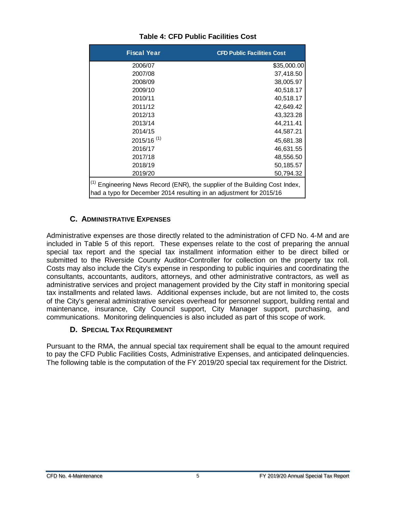<span id="page-8-2"></span>

| <b>Fiscal Year</b>                                                                                                                                            | <b>CFD Public Facilities Cost</b> |  |
|---------------------------------------------------------------------------------------------------------------------------------------------------------------|-----------------------------------|--|
| 2006/07                                                                                                                                                       | \$35,000.00                       |  |
| 2007/08                                                                                                                                                       | 37,418.50                         |  |
| 2008/09                                                                                                                                                       | 38,005.97                         |  |
| 2009/10                                                                                                                                                       | 40,518.17                         |  |
| 2010/11                                                                                                                                                       | 40,518.17                         |  |
| 2011/12                                                                                                                                                       | 42,649.42                         |  |
| 2012/13                                                                                                                                                       | 43,323.28                         |  |
| 2013/14                                                                                                                                                       | 44,211.41                         |  |
| 2014/15                                                                                                                                                       | 44,587.21                         |  |
| $2015/16$ <sup>(1)</sup>                                                                                                                                      | 45,681.38                         |  |
| 2016/17                                                                                                                                                       | 46,631.55                         |  |
| 2017/18                                                                                                                                                       | 48,556.50                         |  |
| 2018/19                                                                                                                                                       | 50,185.57                         |  |
| 2019/20                                                                                                                                                       | 50,794.32                         |  |
| <sup>(1)</sup> Engineering News Record (ENR), the supplier of the Building Cost Index,<br>had a typo for December 2014 resulting in an adjustment for 2015/16 |                                   |  |

#### **Table 4: CFD Public Facilities Cost**

#### **C. ADMINISTRATIVE EXPENSES**

<span id="page-8-0"></span>Administrative expenses are those directly related to the administration of CFD No. 4-M and are included in Table 5 of this report. These expenses relate to the cost of preparing the annual special tax report and the special tax installment information either to be direct billed or submitted to the Riverside County Auditor-Controller for collection on the property tax roll. Costs may also include the City's expense in responding to public inquiries and coordinating the consultants, accountants, auditors, attorneys, and other administrative contractors, as well as administrative services and project management provided by the City staff in monitoring special tax installments and related laws. Additional expenses include, but are not limited to, the costs of the City's general administrative services overhead for personnel support, building rental and maintenance, insurance, City Council support, City Manager support, purchasing, and communications. Monitoring delinquencies is also included as part of this scope of work.

#### **D. SPECIAL TAX REQUIREMENT**

<span id="page-8-1"></span>Pursuant to the RMA, the annual special tax requirement shall be equal to the amount required to pay the CFD Public Facilities Costs, Administrative Expenses, and anticipated delinquencies. The following table is the computation of the FY 2019/20 special tax requirement for the District.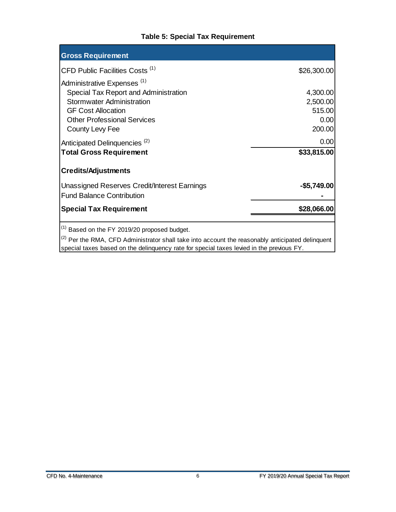#### **Table 5: Special Tax Requirement**

<span id="page-9-0"></span>

| <b>Gross Requirement</b>                                                        |              |
|---------------------------------------------------------------------------------|--------------|
| CFD Public Facilities Costs <sup>(1)</sup>                                      | \$26,300.00  |
| Administrative Expenses <sup>(1)</sup><br>Special Tax Report and Administration | 4,300.00     |
| <b>Stormwater Administration</b>                                                | 2,500.00     |
| <b>GF Cost Allocation</b>                                                       | 515.00       |
| <b>Other Professional Services</b>                                              | 0.00         |
| County Levy Fee                                                                 | 200.00       |
| Anticipated Delinquencies <sup>(2)</sup>                                        | 0.00         |
| <b>Total Gross Requirement</b>                                                  | \$33,815.00  |
| <b>Credits/Adjustments</b>                                                      |              |
| <b>Unassigned Reserves Credit/Interest Earnings</b>                             | $-$5,749.00$ |
| <b>Fund Balance Contribution</b>                                                |              |
| <b>Special Tax Requirement</b>                                                  | \$28,066.00  |
| $(1)$ Based on the FY 2019/20 proposed budget.<br>(2)                           |              |

 $(2)$  Per the RMA, CFD Administrator shall take into account the reasonably anticipated delinquent special taxes based on the delinquency rate for special taxes levied in the previous FY.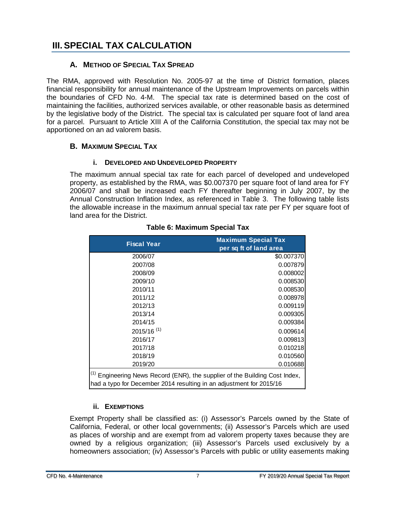# <span id="page-10-0"></span>**III.SPECIAL TAX CALCULATION**

#### <span id="page-10-1"></span>**A. METHOD OF SPECIAL TAX SPREAD**

The RMA, approved with Resolution No. 2005-97 at the time of District formation, places financial responsibility for annual maintenance of the Upstream Improvements on parcels within the boundaries of CFD No. 4-M. The special tax rate is determined based on the cost of maintaining the facilities, authorized services available, or other reasonable basis as determined by the legislative body of the District. The special tax is calculated per square foot of land area for a parcel. Pursuant to Article XIII A of the California Constitution, the special tax may not be apportioned on an ad valorem basis.

#### <span id="page-10-2"></span>**B. MAXIMUM SPECIAL TAX**

#### **i. DEVELOPED AND UNDEVELOPED PROPERTY**

<span id="page-10-3"></span>The maximum annual special tax rate for each parcel of developed and undeveloped property, as established by the RMA, was \$0.007370 per square foot of land area for FY 2006/07 and shall be increased each FY thereafter beginning in July 2007, by the Annual Construction Inflation Index, as referenced in Table 3. The following table lists the allowable increase in the maximum annual special tax rate per FY per square foot of land area for the District.

<span id="page-10-5"></span>

| <b>Fiscal Year</b>                                                                                                                                            | <b>Maximum Special Tax</b> |  |
|---------------------------------------------------------------------------------------------------------------------------------------------------------------|----------------------------|--|
|                                                                                                                                                               | per sq ft of land area     |  |
| 2006/07                                                                                                                                                       | \$0.007370                 |  |
| 2007/08                                                                                                                                                       | 0.007879                   |  |
| 2008/09                                                                                                                                                       | 0.008002                   |  |
| 2009/10                                                                                                                                                       | 0.008530                   |  |
| 2010/11                                                                                                                                                       | 0.008530                   |  |
| 2011/12                                                                                                                                                       | 0.008978                   |  |
| 2012/13                                                                                                                                                       | 0.009119                   |  |
| 2013/14                                                                                                                                                       | 0.009305                   |  |
| 2014/15                                                                                                                                                       | 0.009384                   |  |
| $2015/16$ <sup>(1)</sup>                                                                                                                                      | 0.009614                   |  |
| 2016/17                                                                                                                                                       | 0.009813                   |  |
| 2017/18                                                                                                                                                       | 0.010218                   |  |
| 2018/19                                                                                                                                                       | 0.010560                   |  |
| 2019/20                                                                                                                                                       | 0.010688                   |  |
| <sup>(1)</sup> Engineering News Record (ENR), the supplier of the Building Cost Index,<br>had a typo for December 2014 resulting in an adjustment for 2015/16 |                            |  |

#### **Table 6: Maximum Special Tax**

#### **ii. EXEMPTIONS**

<span id="page-10-4"></span>Exempt Property shall be classified as: (i) Assessor's Parcels owned by the State of California, Federal, or other local governments; (ii) Assessor's Parcels which are used as places of worship and are exempt from ad valorem property taxes because they are owned by a religious organization; (iii) Assessor's Parcels used exclusively by a homeowners association; (iv) Assessor's Parcels with public or utility easements making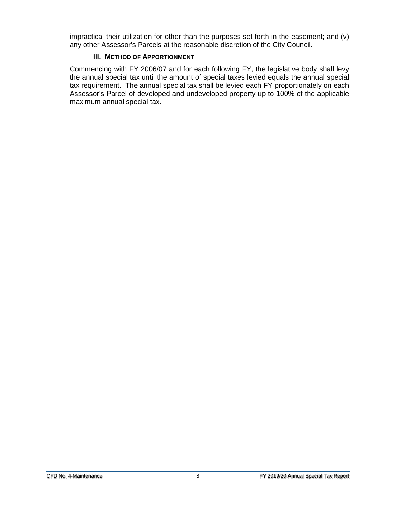impractical their utilization for other than the purposes set forth in the easement; and (v) any other Assessor's Parcels at the reasonable discretion of the City Council.

#### **iii. METHOD OF APPORTIONMENT**

<span id="page-11-0"></span>Commencing with FY 2006/07 and for each following FY, the legislative body shall levy the annual special tax until the amount of special taxes levied equals the annual special tax requirement. The annual special tax shall be levied each FY proportionately on each Assessor's Parcel of developed and undeveloped property up to 100% of the applicable maximum annual special tax.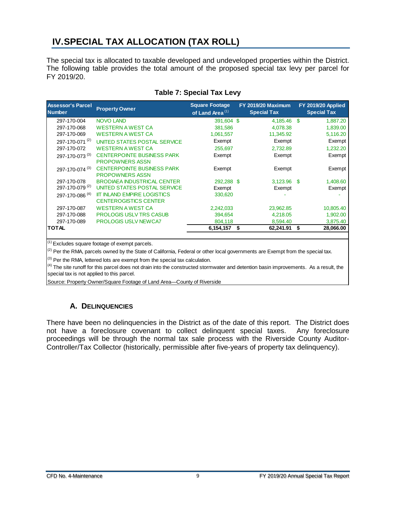## <span id="page-12-0"></span>**IV.SPECIAL TAX ALLOCATION (TAX ROLL)**

The special tax is allocated to taxable developed and undeveloped properties within the District. The following table provides the total amount of the proposed special tax levy per parcel for FY 2019/20.

<span id="page-12-2"></span>

| <b>Assessor's Parcel</b><br><b>Number</b> | <b>Property Owner</b>              | <b>Square Footage</b><br>of Land Area $(1)$ | <b>FY 2019/20 Maximum</b><br><b>Special Tax</b> | FY 2019/20 Applied<br><b>Special Tax</b> |
|-------------------------------------------|------------------------------------|---------------------------------------------|-------------------------------------------------|------------------------------------------|
| 297-170-004                               | <b>NOVO LAND</b>                   | 391.604 \$                                  | 4,185.46                                        | -S<br>1,887.20                           |
| 297-170-068                               | <b>WESTERN A WEST CA</b>           | 381,586                                     | 4,078.38                                        | 1,839.00                                 |
| 297-170-069                               | <b>WESTERN A WEST CA</b>           | 1,061,557                                   | 11,345.92                                       | 5,116.20                                 |
| 297-170-071 <sup>(2)</sup>                | UNITED STATES POSTAL SERVICE       | Exempt                                      | Exempt                                          | Exempt                                   |
| 297-170-072                               | <b>WESTERN A WEST CA</b>           | 255,697                                     | 2,732.89                                        | 1,232.20                                 |
| 297-170-073 (3)                           | <b>CENTERPOINTE BUSINESS PARK</b>  | Exempt                                      | Exempt                                          | Exempt                                   |
|                                           | <b>PROPOWNERS ASSN</b>             |                                             |                                                 |                                          |
| 297-170-074 (3)                           | <b>CENTERPOINTE BUSINESS PARK</b>  | Exempt                                      | Exempt                                          | Exempt                                   |
|                                           | <b>PROPOWNERS ASSN</b>             |                                             |                                                 |                                          |
| 297-170-078                               | <b>BRODIAEA INDUSTRICAL CENTER</b> | 292,288 \$                                  | $3,123.96$ \$                                   | 1,408.60                                 |
| 297-170-079 <sup>(2)</sup>                | UNITED STATES POSTAL SERVICE       | Exempt                                      | Exempt                                          | Exempt                                   |
| 297-170-086 <sup>(4)</sup>                | <b>IIT INLAND EMPIRE LOGISTICS</b> | 330,620                                     |                                                 |                                          |
|                                           | <b>CENTEROGISTICS CENTER</b>       |                                             |                                                 |                                          |
| 297-170-087                               | <b>WESTERN A WEST CA</b>           | 2,242,033                                   | 23,962.85                                       | 10,805.40                                |
| 297-170-088                               | <b>PROLOGIS USLV TRS CASUB</b>     | 394,654                                     | 4,218.05                                        | 1,902.00                                 |
| 297-170-089                               | <b>PROLOGIS USLV NEWCA7</b>        | 804,118                                     | 8,594.40                                        | 3,875.40                                 |
| <b>TOTAL</b>                              |                                    | 6,154,157                                   | \$<br>62,241.91                                 | \$<br>28,066.00                          |

#### **Table 7: Special Tax Levy**

 $(1)$  Excludes square footage of exempt parcels.

 $(2)$  Per the RMA, parcels owned by the State of California, Federal or other local governments are Exempt from the special tax.

 $(3)$  Per the RMA, lettered lots are exempt from the special tax calculation.

 $<sup>(4)</sup>$  The site runoff for this parcel does not drain into the constructed stormwater and detention basin improvements. As a result, the</sup> special tax is not applied to this parcel.

Source: Property Owner/Square Footage of Land Area—County of Riverside

#### **A. DELINQUENCIES**

<span id="page-12-1"></span>There have been no delinquencies in the District as of the date of this report. The District does not have a foreclosure covenant to collect delinquent special taxes. Any foreclosure proceedings will be through the normal tax sale process with the Riverside County Auditor-Controller/Tax Collector (historically, permissible after five-years of property tax delinquency).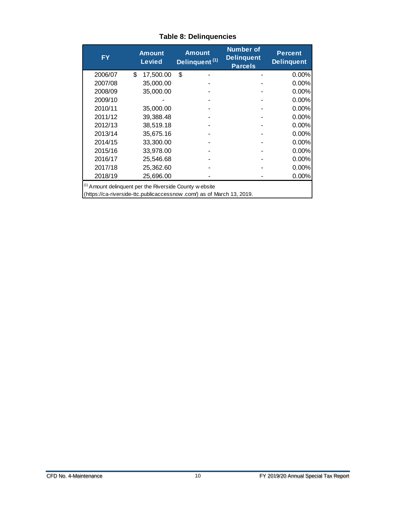<span id="page-13-0"></span>

| <b>FY</b>                                                                                                                                   | <b>Amount</b><br><b>Levied</b> | <b>Amount</b><br>Delinquent <sup>(1)</sup> | <b>Number of</b><br><b>Delinquent</b><br><b>Parcels</b> | <b>Percent</b><br><b>Delinquent</b> |
|---------------------------------------------------------------------------------------------------------------------------------------------|--------------------------------|--------------------------------------------|---------------------------------------------------------|-------------------------------------|
| 2006/07                                                                                                                                     | \$<br>17,500.00                | \$                                         |                                                         | 0.00%                               |
| 2007/08                                                                                                                                     | 35,000.00                      |                                            |                                                         | 0.00%                               |
| 2008/09                                                                                                                                     | 35,000.00                      |                                            |                                                         | 0.00%                               |
| 2009/10                                                                                                                                     |                                |                                            |                                                         | 0.00%                               |
| 2010/11                                                                                                                                     | 35,000.00                      |                                            |                                                         | 0.00%                               |
| 2011/12                                                                                                                                     | 39,388.48                      |                                            |                                                         | 0.00%                               |
| 2012/13                                                                                                                                     | 38,519.18                      |                                            |                                                         | 0.00%                               |
| 2013/14                                                                                                                                     | 35,675.16                      |                                            |                                                         | 0.00%                               |
| 2014/15                                                                                                                                     | 33,300.00                      |                                            |                                                         | 0.00%                               |
| 2015/16                                                                                                                                     | 33,978.00                      |                                            |                                                         | 0.00%                               |
| 2016/17                                                                                                                                     | 25,546.68                      |                                            |                                                         | 0.00%                               |
| 2017/18                                                                                                                                     | 25,362.60                      |                                            |                                                         | 0.00%                               |
| 2018/19                                                                                                                                     | 25,696.00                      |                                            |                                                         | $0.00\%$                            |
| <sup>(1)</sup> Amount delinquent per the Riverside County w ebsite<br>(https://ca-riverside-ttc.publicaccessnow.com/) as of March 13, 2019. |                                |                                            |                                                         |                                     |

#### **Table 8: Delinquencies**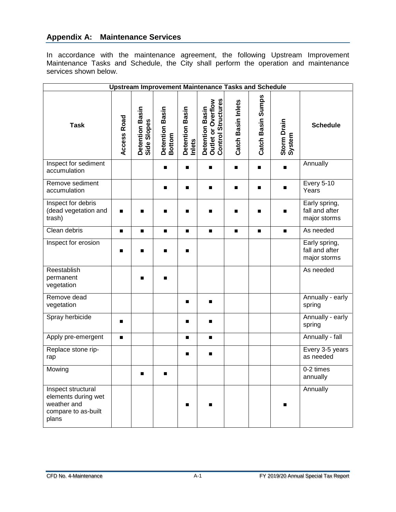#### **Appendix A: Maintenance Services**

In accordance with the maintenance agreement, the following Upstream Improvement Maintenance Tasks and Schedule, the City shall perform the operation and maintenance services shown below.

| <b>Upstream Improvement Maintenance Tasks and Schedule</b>                               |                |                                |                           |                           |                                                                    |                           |                   |                       |                                                 |
|------------------------------------------------------------------------------------------|----------------|--------------------------------|---------------------------|---------------------------|--------------------------------------------------------------------|---------------------------|-------------------|-----------------------|-------------------------------------------------|
| <b>Task</b>                                                                              | Access Road    | Detention Basin<br>Side Slopes | Detention Basin<br>Bottom | Detention Basin<br>Inlets | <b>Control Structures</b><br>Detention Basin<br>Outlet or Overflow | <b>Catch Basin Inlets</b> | Catch Basin Sumps | Storm Drain<br>System | <b>Schedule</b>                                 |
| Inspect for sediment<br>accumulation                                                     |                |                                | $\blacksquare$            | п                         | ■                                                                  | ■                         | П                 | п                     | Annually                                        |
| Remove sediment<br>accumulation                                                          |                |                                | $\blacksquare$            | п                         | п                                                                  |                           | П                 | ■                     | <b>Every 5-10</b><br>Years                      |
| Inspect for debris<br>(dead vegetation and<br>trash)                                     | ■              | ■                              | $\blacksquare$            | п                         | п                                                                  |                           | п                 | ■                     | Early spring,<br>fall and after<br>major storms |
| Clean debris                                                                             |                |                                | $\blacksquare$            | $\blacksquare$            | $\blacksquare$                                                     | $\blacksquare$            | $\blacksquare$    | $\blacksquare$        | As needed                                       |
| Inspect for erosion                                                                      | ■              | ■                              | $\blacksquare$            | п                         |                                                                    |                           |                   |                       | Early spring,<br>fall and after<br>major storms |
| Reestablish<br>permanent<br>vegetation                                                   |                | ■                              | ■                         |                           |                                                                    |                           |                   |                       | As needed                                       |
| Remove dead<br>vegetation                                                                |                |                                |                           | п                         | п                                                                  |                           |                   |                       | Annually - early<br>spring                      |
| Spray herbicide                                                                          |                |                                |                           | п                         | ■                                                                  |                           |                   |                       | Annually - early<br>spring                      |
| Apply pre-emergent                                                                       | $\blacksquare$ |                                |                           | $\blacksquare$            | $\blacksquare$                                                     |                           |                   |                       | Annually - fall                                 |
| Replace stone rip-<br>rap                                                                |                |                                |                           | п                         | ■                                                                  |                           |                   |                       | Every 3-5 years<br>as needed                    |
| Mowing                                                                                   |                |                                |                           |                           |                                                                    |                           |                   |                       | 0-2 times<br>annually                           |
| Inspect structural<br>elements during wet<br>weather and<br>compare to as-built<br>plans |                |                                |                           | $\blacksquare$            |                                                                    |                           |                   | ■                     | Annually                                        |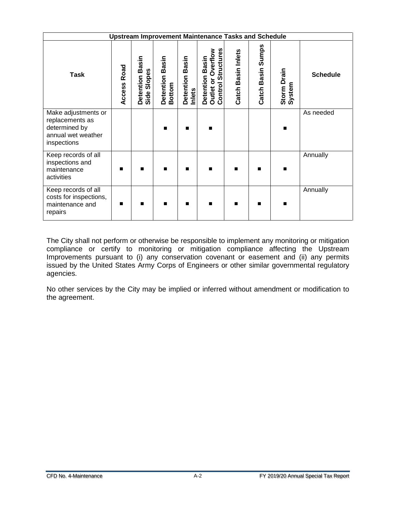| <b>Upstream Improvement Maintenance Tasks and Schedule</b>                                   |                |                                   |                                     |                           |                                                                                            |                              |                      |                       |                 |
|----------------------------------------------------------------------------------------------|----------------|-----------------------------------|-------------------------------------|---------------------------|--------------------------------------------------------------------------------------------|------------------------------|----------------------|-----------------------|-----------------|
| <b>Task</b>                                                                                  | Road<br>Access | Basin<br>Side Slopes<br>Detention | Basin<br>Detention<br><b>Bottom</b> | Detention Basin<br>Inlets | Structures<br>Overflow<br>Basin<br>Detention<br>ō<br>Control <sup>3</sup><br><b>Outlet</b> | <b>Basin Inlets</b><br>Catch | Sumps<br>Catch Basin | Storm Drain<br>System | <b>Schedule</b> |
| Make adjustments or<br>replacements as<br>determined by<br>annual wet weather<br>inspections |                |                                   | $\blacksquare$                      | п                         | ■                                                                                          |                              |                      | ■                     | As needed       |
| Keep records of all<br>inspections and<br>maintenance<br>activities                          | ■              |                                   | п                                   | п                         | ■                                                                                          | п                            |                      |                       | Annually        |
| Keep records of all<br>costs for inspections,<br>maintenance and<br>repairs                  | ■              |                                   | $\blacksquare$                      | п                         | ■                                                                                          | п                            |                      | ■                     | Annually        |

The City shall not perform or otherwise be responsible to implement any monitoring or mitigation compliance or certify to monitoring or mitigation compliance affecting the Upstream Improvements pursuant to (i) any conservation covenant or easement and (ii) any permits issued by the United States Army Corps of Engineers or other similar governmental regulatory agencies.

No other services by the City may be implied or inferred without amendment or modification to the agreement.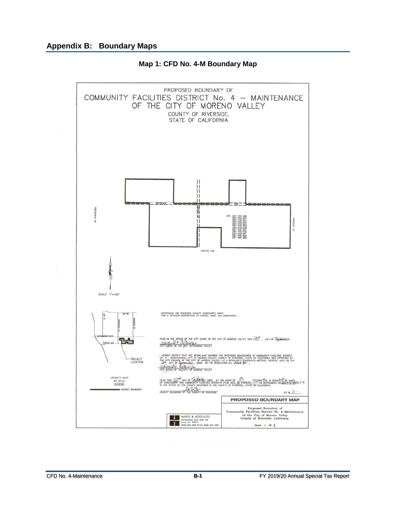<span id="page-16-0"></span>

**Map 1: CFD No. 4-M Boundary Map**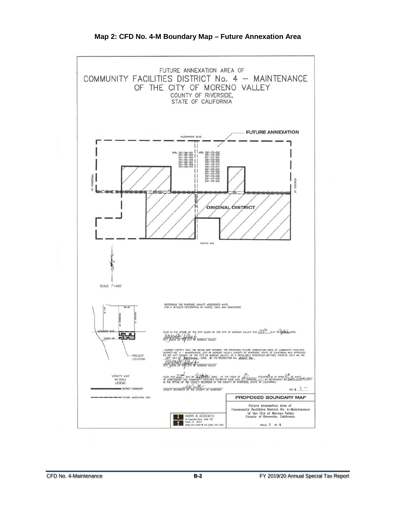<span id="page-17-0"></span>